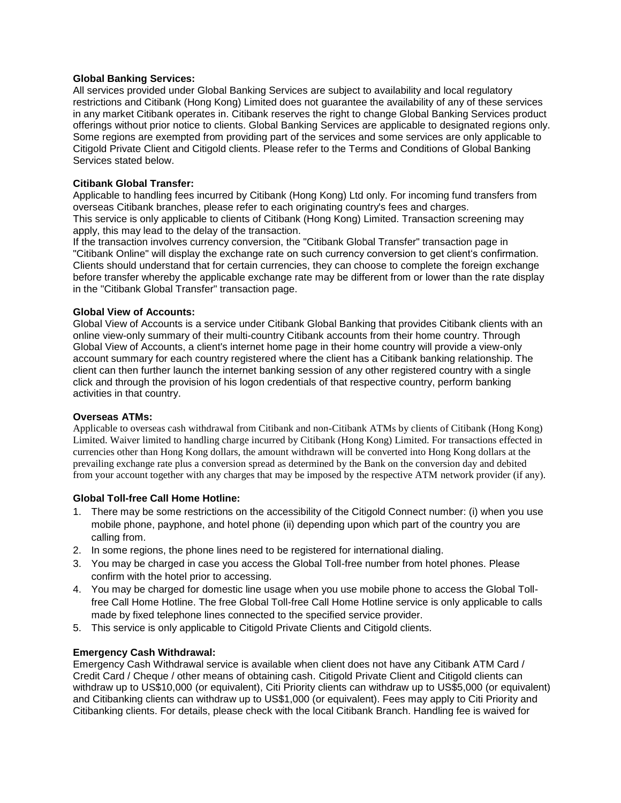### **Global Banking Services:**

All services provided under Global Banking Services are subject to availability and local regulatory restrictions and Citibank (Hong Kong) Limited does not guarantee the availability of any of these services in any market Citibank operates in. Citibank reserves the right to change Global Banking Services product offerings without prior notice to clients. Global Banking Services are applicable to designated regions only. Some regions are exempted from providing part of the services and some services are only applicable to Citigold Private Client and Citigold clients. Please refer to the Terms and Conditions of Global Banking Services stated below.

# **Citibank Global Transfer:**

Applicable to handling fees incurred by Citibank (Hong Kong) Ltd only. For incoming fund transfers from overseas Citibank branches, please refer to each originating country's fees and charges. This service is only applicable to clients of Citibank (Hong Kong) Limited. Transaction screening may apply, this may lead to the delay of the transaction.

If the transaction involves currency conversion, the "Citibank Global Transfer" transaction page in "Citibank Online" will display the exchange rate on such currency conversion to get client's confirmation. Clients should understand that for certain currencies, they can choose to complete the foreign exchange before transfer whereby the applicable exchange rate may be different from or lower than the rate display in the "Citibank Global Transfer" transaction page.

### **Global View of Accounts:**

Global View of Accounts is a service under Citibank Global Banking that provides Citibank clients with an online view-only summary of their multi-country Citibank accounts from their home country. Through Global View of Accounts, a client's internet home page in their home country will provide a view-only account summary for each country registered where the client has a Citibank banking relationship. The client can then further launch the internet banking session of any other registered country with a single click and through the provision of his logon credentials of that respective country, perform banking activities in that country.

#### **Overseas ATMs:**

Applicable to overseas cash withdrawal from Citibank and non-Citibank ATMs by clients of Citibank (Hong Kong) Limited. Waiver limited to handling charge incurred by Citibank (Hong Kong) Limited. For transactions effected in currencies other than Hong Kong dollars, the amount withdrawn will be converted into Hong Kong dollars at the prevailing exchange rate plus a conversion spread as determined by the Bank on the conversion day and debited from your account together with any charges that may be imposed by the respective ATM network provider (if any).

# **Global Toll-free Call Home Hotline:**

- 1. There may be some restrictions on the accessibility of the Citigold Connect number: (i) when you use mobile phone, payphone, and hotel phone (ii) depending upon which part of the country you are calling from.
- 2. In some regions, the phone lines need to be registered for international dialing.
- 3. You may be charged in case you access the Global Toll-free number from hotel phones. Please confirm with the hotel prior to accessing.
- 4. You may be charged for domestic line usage when you use mobile phone to access the Global Tollfree Call Home Hotline. The free Global Toll-free Call Home Hotline service is only applicable to calls made by fixed telephone lines connected to the specified service provider.
- 5. This service is only applicable to Citigold Private Clients and Citigold clients.

# **Emergency Cash Withdrawal:**

Emergency Cash Withdrawal service is available when client does not have any Citibank ATM Card / Credit Card / Cheque / other means of obtaining cash. Citigold Private Client and Citigold clients can withdraw up to US\$10,000 (or equivalent), Citi Priority clients can withdraw up to US\$5,000 (or equivalent) and Citibanking clients can withdraw up to US\$1,000 (or equivalent). Fees may apply to Citi Priority and Citibanking clients. For details, please check with the local Citibank Branch. Handling fee is waived for